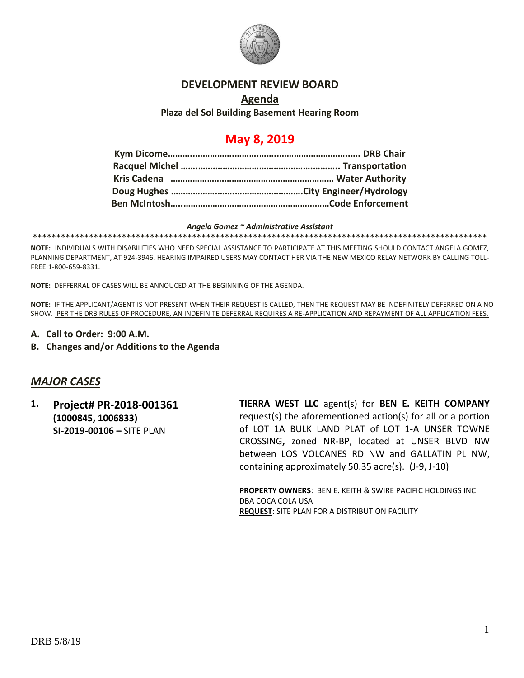

#### **DEVELOPMENT REVIEW BOARD**

### **Agenda Plaza del Sol Building Basement Hearing Room**

# **May 8, 2019**

#### *Angela Gomez ~ Administrative Assistant*

**\*\*\*\*\*\*\*\*\*\*\*\*\*\*\*\*\*\*\*\*\*\*\*\*\*\*\*\*\*\*\*\*\*\*\*\*\*\*\*\*\*\*\*\*\*\*\*\*\*\*\*\*\*\*\*\*\*\*\*\*\*\*\*\*\*\*\*\*\*\*\*\*\*\*\*\*\*\*\*\*\*\*\*\*\*\*\*\*\*\*\*\*\*\*\*\*\***

**NOTE:** INDIVIDUALS WITH DISABILITIES WHO NEED SPECIAL ASSISTANCE TO PARTICIPATE AT THIS MEETING SHOULD CONTACT ANGELA GOMEZ, PLANNING DEPARTMENT, AT 924-3946. HEARING IMPAIRED USERS MAY CONTACT HER VIA THE NEW MEXICO RELAY NETWORK BY CALLING TOLL-FREE:1-800-659-8331.

**NOTE:** DEFFERRAL OF CASES WILL BE ANNOUCED AT THE BEGINNING OF THE AGENDA.

**NOTE:** IF THE APPLICANT/AGENT IS NOT PRESENT WHEN THEIR REQUEST IS CALLED, THEN THE REQUEST MAY BE INDEFINITELY DEFERRED ON A NO SHOW. PER THE DRB RULES OF PROCEDURE, AN INDEFINITE DEFERRAL REQUIRES A RE-APPLICATION AND REPAYMENT OF ALL APPLICATION FEES.

- **A. Call to Order: 9:00 A.M.**
- **B. Changes and/or Additions to the Agenda**

## *MAJOR CASES*

**1. Project# PR-2018-001361 (1000845, 1006833) SI-2019-00106 –** SITE PLAN **TIERRA WEST LLC** agent(s) for **BEN E. KEITH COMPANY** request(s) the aforementioned action(s) for all or a portion of LOT 1A BULK LAND PLAT of LOT 1-A UNSER TOWNE CROSSING**,** zoned NR-BP, located at UNSER BLVD NW between LOS VOLCANES RD NW and GALLATIN PL NW, containing approximately 50.35 acre(s). (J-9, J-10)

> **PROPERTY OWNERS**: BEN E. KEITH & SWIRE PACIFIC HOLDINGS INC DBA COCA COLA USA **REQUEST**: SITE PLAN FOR A DISTRIBUTION FACILITY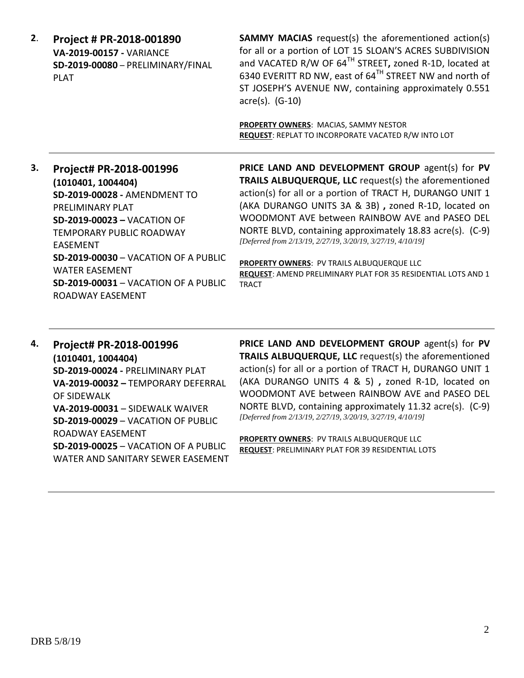| 2. | Project # PR-2018-001890<br><b>VA-2019-00157 - VARIANCE</b><br>SD-2019-00080 - PRELIMINARY/FINAL<br><b>PLAT</b>                                                                                                                                                                                                                          | <b>SAMMY MACIAS</b> request(s) the aforementioned action(s)<br>for all or a portion of LOT 15 SLOAN'S ACRES SUBDIVISION<br>and VACATED R/W OF 64TH STREET, zoned R-1D, located at<br>6340 EVERITT RD NW, east of 64TH STREET NW and north of<br>ST JOSEPH'S AVENUE NW, containing approximately 0.551<br>$\arccos(5)$ . (G-10)<br><b>PROPERTY OWNERS: MACIAS, SAMMY NESTOR</b><br>REQUEST: REPLAT TO INCORPORATE VACATED R/W INTO LOT                                                                                                             |
|----|------------------------------------------------------------------------------------------------------------------------------------------------------------------------------------------------------------------------------------------------------------------------------------------------------------------------------------------|---------------------------------------------------------------------------------------------------------------------------------------------------------------------------------------------------------------------------------------------------------------------------------------------------------------------------------------------------------------------------------------------------------------------------------------------------------------------------------------------------------------------------------------------------|
| З. | Project# PR-2018-001996<br>(1010401, 1004404)<br>SD-2019-00028 - AMENDMENT TO<br>PRELIMINARY PLAT<br><b>SD-2019-00023 - VACATION OF</b><br><b>TEMPORARY PUBLIC ROADWAY</b><br><b>FASFMENT</b><br><b>SD-2019-00030 - VACATION OF A PUBLIC</b><br><b>WATER FASEMENT</b><br><b>SD-2019-00031 - VACATION OF A PUBLIC</b><br>ROADWAY EASEMENT | PRICE LAND AND DEVELOPMENT GROUP agent(s) for PV<br><b>TRAILS ALBUQUERQUE, LLC</b> request(s) the aforementioned<br>action(s) for all or a portion of TRACT H, DURANGO UNIT 1<br>(AKA DURANGO UNITS 3A & 3B), zoned R-1D, located on<br>WOODMONT AVE between RAINBOW AVE and PASEO DEL<br>NORTE BLVD, containing approximately 18.83 acre(s). (C-9)<br>[Deferred from 2/13/19, 2/27/19, 3/20/19, 3/27/19, 4/10/19]<br>PROPERTY OWNERS: PV TRAILS ALBUQUERQUE LLC<br>REQUEST: AMEND PRELIMINARY PLAT FOR 35 RESIDENTIAL LOTS AND 1<br><b>TRACT</b> |

**4. Project# PR-2018-001996 (1010401, 1004404) SD-2019-00024 -** PRELIMINARY PLAT **VA-2019-00032 –** TEMPORARY DEFERRAL OF SIDEWALK **VA-2019-00031** – SIDEWALK WAIVER **SD-2019-00029** – VACATION OF PUBLIC ROADWAY EASEMENT **SD-2019-00025** – VACATION OF A PUBLIC WATER AND SANITARY SEWER EASEMENT **PRICE LAND AND DEVELOPMENT GROUP** agent(s) for **PV TRAILS ALBUQUERQUE, LLC** request(s) the aforementioned action(s) for all or a portion of TRACT H, DURANGO UNIT 1 (AKA DURANGO UNITS 4 & 5) **,** zoned R-1D, located on WOODMONT AVE between RAINBOW AVE and PASEO DEL NORTE BLVD, containing approximately 11.32 acre(s). (C-9) *[Deferred from 2/13/19, 2/27/19, 3/20/19, 3/27/19, 4/10/19]*

**PROPERTY OWNERS**: PV TRAILS ALBUQUERQUE LLC **REQUEST**: PRELIMINARY PLAT FOR 39 RESIDENTIAL LOTS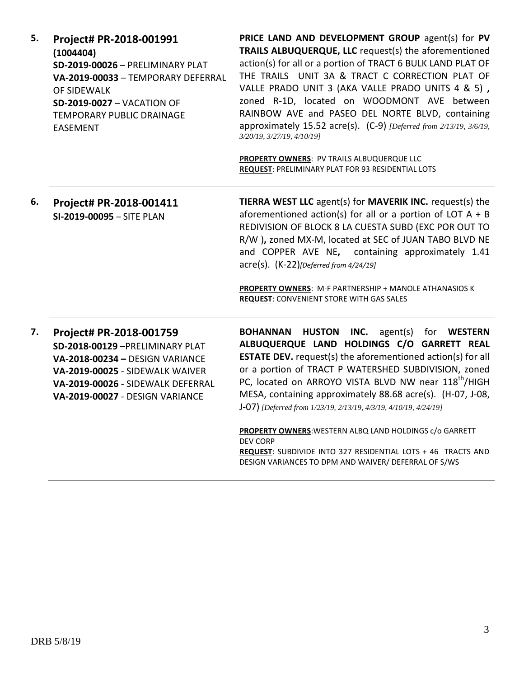| 5. | Project# PR-2018-001991<br>(1004404)<br>SD-2019-00026 - PRELIMINARY PLAT<br>VA-2019-00033 - TEMPORARY DEFERRAL<br>OF SIDEWALK<br><b>SD-2019-0027 - VACATION OF</b><br>TEMPORARY PUBLIC DRAINAGE<br><b>EASEMENT</b> | PRICE LAND AND DEVELOPMENT GROUP agent(s) for PV<br>TRAILS ALBUQUERQUE, LLC request(s) the aforementioned<br>action(s) for all or a portion of TRACT 6 BULK LAND PLAT OF<br>THE TRAILS UNIT 3A & TRACT C CORRECTION PLAT OF<br>VALLE PRADO UNIT 3 (AKA VALLE PRADO UNITS 4 & 5),<br>zoned R-1D, located on WOODMONT AVE between<br>RAINBOW AVE and PASEO DEL NORTE BLVD, containing<br>approximately 15.52 acre(s). (C-9) [Deferred from 2/13/19, 3/6/19,<br>3/20/19, 3/27/19, 4/10/19]<br>PROPERTY OWNERS: PV TRAILS ALBUQUERQUE LLC<br>REQUEST: PRELIMINARY PLAT FOR 93 RESIDENTIAL LOTS    |
|----|--------------------------------------------------------------------------------------------------------------------------------------------------------------------------------------------------------------------|-----------------------------------------------------------------------------------------------------------------------------------------------------------------------------------------------------------------------------------------------------------------------------------------------------------------------------------------------------------------------------------------------------------------------------------------------------------------------------------------------------------------------------------------------------------------------------------------------|
| 6. | Project# PR-2018-001411<br>SI-2019-00095 - SITE PLAN                                                                                                                                                               | TIERRA WEST LLC agent(s) for MAVERIK INC. request(s) the<br>aforementioned action(s) for all or a portion of LOT $A + B$<br>REDIVISION OF BLOCK 8 LA CUESTA SUBD (EXC POR OUT TO<br>R/W ), zoned MX-M, located at SEC of JUAN TABO BLVD NE<br>and COPPER AVE NE, containing approximately 1.41<br>$\text{acre}(s)$ . $(K-22)$ [Deferred from 4/24/19]<br>PROPERTY OWNERS: M-F PARTNERSHIP + MANOLE ATHANASIOS K<br><b>REQUEST: CONVENIENT STORE WITH GAS SALES</b>                                                                                                                            |
| 7. | Project# PR-2018-001759<br>SD-2018-00129-PRELIMINARY PLAT<br>VA-2018-00234 - DESIGN VARIANCE<br>VA-2019-00025 - SIDEWALK WAIVER<br>VA-2019-00026 - SIDEWALK DEFERRAL<br>VA-2019-00027 - DESIGN VARIANCE            | INC.<br><b>BOHANNAN HUSTON</b><br>agent(s) for <b>WESTERN</b><br>ALBUQUERQUE LAND HOLDINGS C/O GARRETT REAL<br><b>ESTATE DEV.</b> request(s) the aforementioned action(s) for all<br>or a portion of TRACT P WATERSHED SUBDIVISION, zoned<br>PC, located on ARROYO VISTA BLVD NW near 118 <sup>th</sup> /HIGH<br>MESA, containing approximately 88.68 acre(s). (H-07, J-08,<br>J-07) [Deferred from 1/23/19, 2/13/19, 4/3/19, 4/10/19, 4/24/19]<br>PROPERTY OWNERS: WESTERN ALBQ LAND HOLDINGS c/o GARRETT<br><b>DEV CORP</b><br>REQUEST: SUBDIVIDE INTO 327 RESIDENTIAL LOTS + 46 TRACTS AND |

DESIGN VARIANCES TO DPM AND WAIVER/ DEFERRAL OF S/WS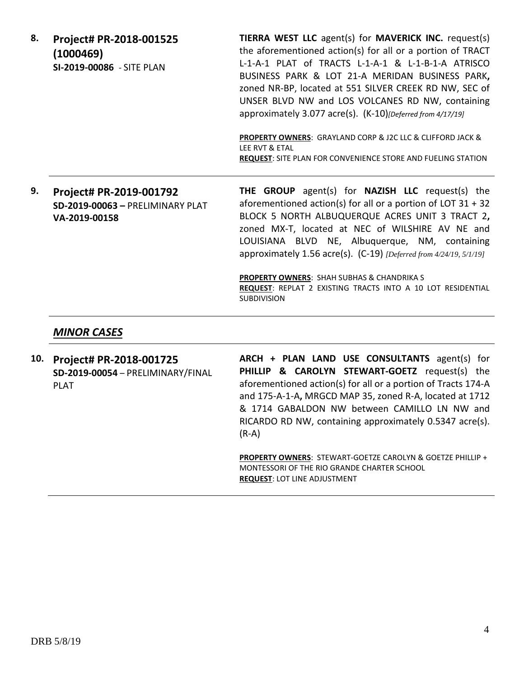- **8. Project# PR-2018-001525 (1000469) SI-2019-00086** - SITE PLAN **TIERRA WEST LLC** agent(s) for **MAVERICK INC.** request(s) the aforementioned action(s) for all or a portion of TRACT L-1-A-1 PLAT of TRACTS L-1-A-1 & L-1-B-1-A ATRISCO BUSINESS PARK & LOT 21-A MERIDAN BUSINESS PARK**,**  zoned NR-BP, located at 551 SILVER CREEK RD NW, SEC of UNSER BLVD NW and LOS VOLCANES RD NW, containing approximately 3.077 acre(s). (K-10)*[Deferred from 4/17/19]* **PROPERTY OWNERS**: GRAYLAND CORP & J2C LLC & CLIFFORD JACK & LEE RVT & ETAL **REQUEST**: SITE PLAN FOR CONVENIENCE STORE AND FUELING STATION
- **9. Project# PR-2019-001792 SD-2019-00063 –** PRELIMINARY PLAT **VA-2019-00158**

**THE GROUP** agent(s) for **NAZISH LLC** request(s) the aforementioned action(s) for all or a portion of LOT 31 + 32 BLOCK 5 NORTH ALBUQUERQUE ACRES UNIT 3 TRACT 2**,**  zoned MX-T, located at NEC of WILSHIRE AV NE and LOUISIANA BLVD NE, Albuquerque, NM, containing approximately 1.56 acre(s). (C-19) *[Deferred from 4/24/19, 5/1/19]*

**PROPERTY OWNERS**: SHAH SUBHAS & CHANDRIKA S **REQUEST**: REPLAT 2 EXISTING TRACTS INTO A 10 LOT RESIDENTIAL SUBDIVISION

#### *MINOR CASES*

**10. Project# PR-2018-001725 SD-2019-00054** – PRELIMINARY/FINAL PLAT

**ARCH + PLAN LAND USE CONSULTANTS** agent(s) for **PHILLIP & CAROLYN STEWART-GOETZ** request(s) the aforementioned action(s) for all or a portion of Tracts 174-A and 175-A-1-A**,** MRGCD MAP 35, zoned R-A, located at 1712 & 1714 GABALDON NW between CAMILLO LN NW and RICARDO RD NW, containing approximately 0.5347 acre(s). (R-A)

**PROPERTY OWNERS**: STEWART-GOETZE CAROLYN & GOETZE PHILLIP + MONTESSORI OF THE RIO GRANDE CHARTER SCHOOL **REQUEST**: LOT LINE ADJUSTMENT